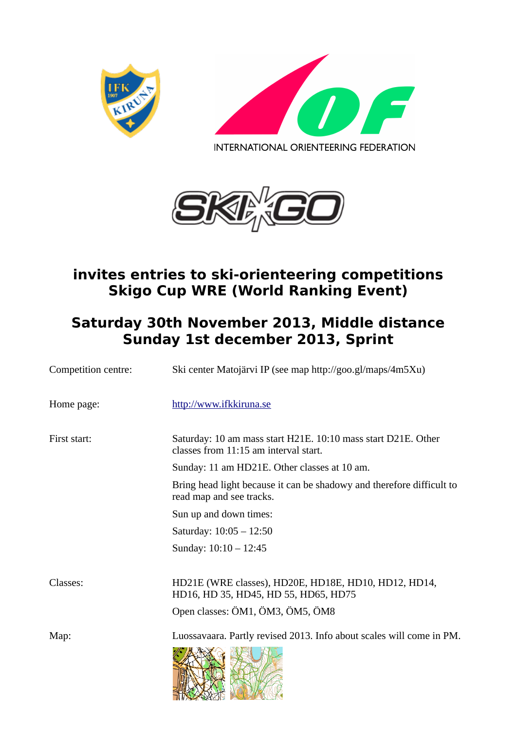





## **invites entries to ski-orienteering competitions Skigo Cup WRE (World Ranking Event)**

## **Saturday 30th November 2013, Middle distance Sunday 1st december 2013, Sprint**

| Competition centre: | Ski center Matojärvi IP (see map http://goo.gl/maps/4m5Xu)                                                                       |
|---------------------|----------------------------------------------------------------------------------------------------------------------------------|
| Home page:          | http://www.ifkkiruna.se                                                                                                          |
| First start:        | Saturday: 10 am mass start H21E. 10:10 mass start D21E. Other<br>classes from 11:15 am interval start.                           |
|                     | Sunday: 11 am HD21E. Other classes at 10 am.                                                                                     |
|                     | Bring head light because it can be shadowy and therefore difficult to<br>read map and see tracks.                                |
|                     | Sun up and down times:                                                                                                           |
|                     | Saturday: 10:05 - 12:50                                                                                                          |
|                     | Sunday: $10:10 - 12:45$                                                                                                          |
| Classes:            | HD21E (WRE classes), HD20E, HD18E, HD10, HD12, HD14,<br>HD16, HD 35, HD45, HD 55, HD65, HD75<br>Open classes: ÖM1, ÖM3, ÖM5, ÖM8 |
| Map:                | Luossavaara. Partly revised 2013. Info about scales will come in PM.                                                             |

HARMA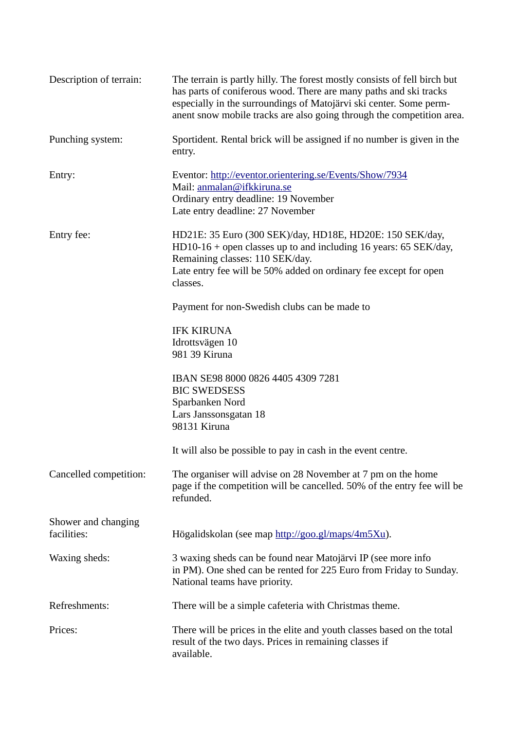| Description of terrain:            | The terrain is partly hilly. The forest mostly consists of fell birch but<br>has parts of coniferous wood. There are many paths and ski tracks<br>especially in the surroundings of Matojärvi ski center. Some perm-<br>anent snow mobile tracks are also going through the competition area. |
|------------------------------------|-----------------------------------------------------------------------------------------------------------------------------------------------------------------------------------------------------------------------------------------------------------------------------------------------|
| Punching system:                   | Sportident. Rental brick will be assigned if no number is given in the<br>entry.                                                                                                                                                                                                              |
| Entry:                             | Eventor: http://eventor.orientering.se/Events/Show/7934<br>Mail: anmalan@ifkkiruna.se<br>Ordinary entry deadline: 19 November<br>Late entry deadline: 27 November                                                                                                                             |
| Entry fee:                         | HD21E: 35 Euro (300 SEK)/day, HD18E, HD20E: 150 SEK/day,<br>HD10-16 + open classes up to and including 16 years: 65 SEK/day,<br>Remaining classes: 110 SEK/day.<br>Late entry fee will be 50% added on ordinary fee except for open<br>classes.                                               |
|                                    | Payment for non-Swedish clubs can be made to                                                                                                                                                                                                                                                  |
|                                    | <b>IFK KIRUNA</b><br>Idrottsvägen 10<br>981 39 Kiruna                                                                                                                                                                                                                                         |
|                                    | IBAN SE98 8000 0826 4405 4309 7281<br><b>BIC SWEDSESS</b><br>Sparbanken Nord<br>Lars Janssonsgatan 18<br>98131 Kiruna                                                                                                                                                                         |
|                                    | It will also be possible to pay in cash in the event centre.                                                                                                                                                                                                                                  |
| Cancelled competition:             | The organiser will advise on 28 November at 7 pm on the home<br>page if the competition will be cancelled. 50% of the entry fee will be<br>refunded.                                                                                                                                          |
| Shower and changing<br>facilities: | Högalidskolan (see map http://goo.gl/maps/4m5Xu).                                                                                                                                                                                                                                             |
| Waxing sheds:                      | 3 waxing sheds can be found near Matojärvi IP (see more info<br>in PM). One shed can be rented for 225 Euro from Friday to Sunday.<br>National teams have priority.                                                                                                                           |
| Refreshments:                      | There will be a simple cafeteria with Christmas theme.                                                                                                                                                                                                                                        |
| Prices:                            | There will be prices in the elite and youth classes based on the total<br>result of the two days. Prices in remaining classes if<br>available.                                                                                                                                                |